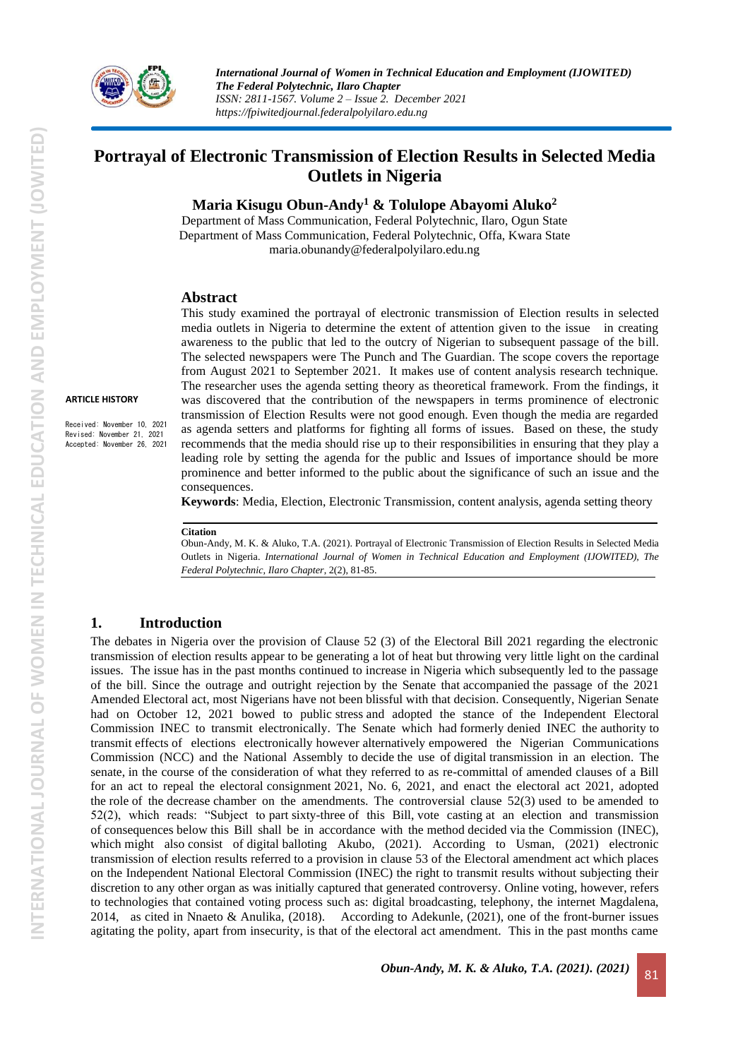

*International Journal of Women in Technical Education and Employment (IJOWITED) The Federal Polytechnic, Ilaro Chapter ISSN: 2811-1567. Volume 2 – Issue 2. December 2021 https://fpiwitedjournal.federalpolyilaro.edu.ng*

# **Portrayal of Electronic Transmission of Election Results in Selected Media Outlets in Nigeria**

**Maria Kisugu Obun-Andy<sup>1</sup> & Tolulope Abayomi Aluko<sup>2</sup>**

Department of Mass Communication, Federal Polytechnic, Ilaro, Ogun State Department of Mass Communication, Federal Polytechnic, Offa, Kwara State [maria.obunandy@federalpolyilaro.edu.ng](mailto:maria.obunandy@federalpolyilaro.edu.ng)

#### **Abstract**

This study examined the portrayal of electronic transmission of Election results in selected media outlets in Nigeria to determine the extent of attention given to the issue in creating awareness to the public that led to the outcry of Nigerian to subsequent passage of the bill. The selected newspapers were The Punch and The Guardian. The scope covers the reportage from August 2021 to September 2021. It makes use of content analysis research technique. The researcher uses the agenda setting theory as theoretical framework. From the findings, it was discovered that the contribution of the newspapers in terms prominence of electronic transmission of Election Results were not good enough. Even though the media are regarded as agenda setters and platforms for fighting all forms of issues. Based on these, the study recommends that the media should rise up to their responsibilities in ensuring that they play a leading role by setting the agenda for the public and Issues of importance should be more prominence and better informed to the public about the significance of such an issue and the consequences.

**Keywords**: Media, Election, Electronic Transmission, content analysis, agenda setting theory

#### **Citation**

Obun-Andy, M. K. & Aluko, T.A. (2021). Portrayal of Electronic Transmission of Election Results in Selected Media Outlets in Nigeria. *International Journal of Women in Technical Education and Employment (IJOWITED), The Federal Polytechnic, Ilaro Chapter*, 2(2), 81-85.

#### **1. Introduction**

The debates in Nigeria over the provision of Clause 52 (3) of the Electoral Bill 2021 regarding the electronic transmission of election results appear to be generating a lot of heat but throwing very little light on the cardinal issues. The issue has in the past months continued to increase in Nigeria which subsequently led to the passage of the bill. Since the outrage and outright rejection by the Senate that accompanied the passage of the 2021 Amended Electoral act, most Nigerians have not been blissful with that decision. Consequently, Nigerian Senate had on October 12, 2021 bowed to public stress and adopted the stance of the Independent Electoral Commission INEC to transmit electronically. The Senate which had formerly denied INEC the authority to transmit effects of elections electronically however alternatively empowered the Nigerian Communications Commission (NCC) and the National Assembly to decide the use of digital transmission in an election. The senate, in the course of the consideration of what they referred to as re-committal of amended clauses of a Bill for an act to repeal the electoral consignment 2021, No. 6, 2021, and enact the electoral act 2021, adopted the role of the decrease chamber on the amendments. The controversial clause 52(3) used to be amended to 52(2), which reads: "Subject to part sixty-three of this Bill, vote casting at an election and transmission of consequences below this Bill shall be in accordance with the method decided via the Commission (INEC), which might also consist of digital balloting Akubo, (2021). According to Usman, (2021) electronic transmission of election results referred to a provision in clause 53 of the Electoral amendment act which places on the Independent National Electoral Commission (INEC) the right to transmit results without subjecting their discretion to any other organ as was initially captured that generated controversy. Online voting, however, refers to technologies that contained voting process such as: digital broadcasting, telephony, the internet Magdalena, 2014, as cited in Nnaeto & Anulika, (2018). According to Adekunle, (2021), one of the front-burner issues agitating the polity, apart from insecurity, is that of the electoral act amendment. This in the past months came

**ARTICLE HISTORY**

Received: November 10, 2021 Revised: November 21, 2021 Accepted: November 26, 2021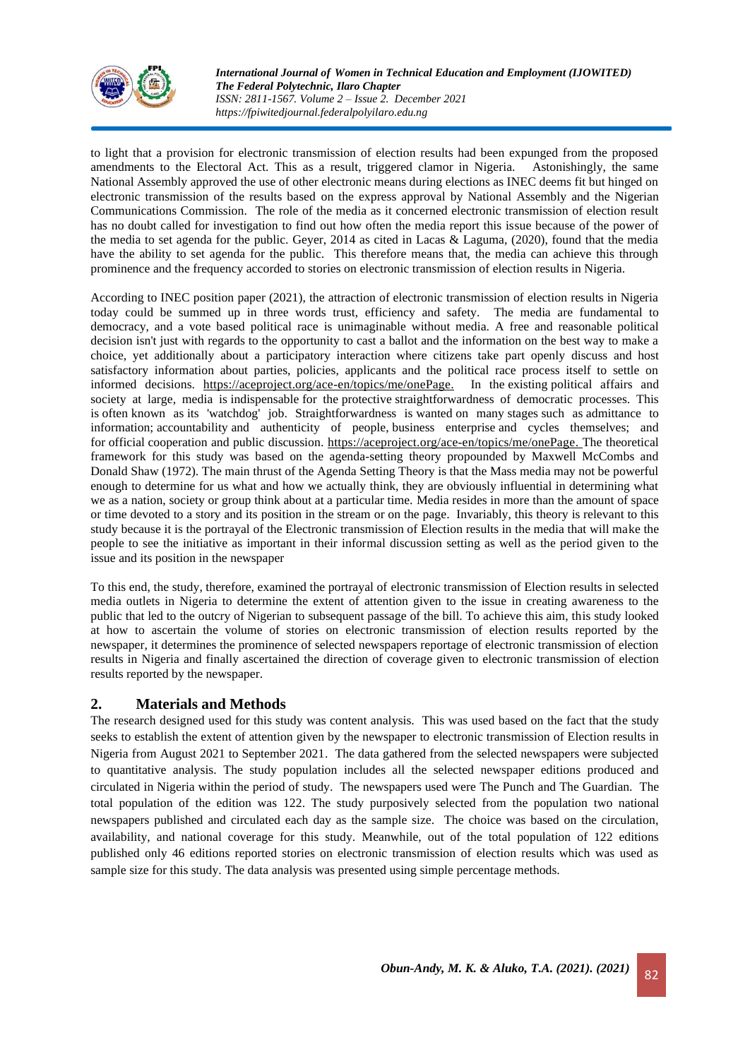

*International Journal of Women in Technical Education and Employment (IJOWITED) The Federal Polytechnic, Ilaro Chapter ISSN: 2811-1567. Volume 2 – Issue 2. December 2021 https://fpiwitedjournal.federalpolyilaro.edu.ng*

to light that a provision for electronic transmission of election results had been expunged from the proposed amendments to the Electoral Act. This as a result, triggered clamor in Nigeria. Astonishingly, the same National Assembly approved the use of other electronic means during elections as INEC deems fit but hinged on electronic transmission of the results based on the express approval by National Assembly and the Nigerian Communications Commission. The role of the media as it concerned electronic transmission of election result has no doubt called for investigation to find out how often the media report this issue because of the power of the media to set agenda for the public. Geyer, 2014 as cited in Lacas & Laguma, (2020), found that the media have the ability to set agenda for the public. This therefore means that, the media can achieve this through prominence and the frequency accorded to stories on electronic transmission of election results in Nigeria.

According to INEC position paper (2021), the attraction of electronic transmission of election results in Nigeria today could be summed up in three words trust, efficiency and safety. The media are fundamental to democracy, and a vote based political race is unimaginable without media. A free and reasonable political decision isn't just with regards to the opportunity to cast a ballot and the information on the best way to make a choice, yet additionally about a participatory interaction where citizens take part openly discuss and host satisfactory information about parties, policies, applicants and the political race process itself to settle on informed decisions. [https://aceproject.org/ace-en/topics/me/onePage.](https://aceproject.org/ace-en/topics/me/onePage) In the existing political affairs and society at large, media is indispensable for the protective straightforwardness of democratic processes. This is often known as its 'watchdog' job. Straightforwardness is wanted on many stages such as admittance to information; accountability and authenticity of people, business enterprise and cycles themselves; and for official cooperation and public discussion. [https://aceproject.org/ace-en/topics/me/onePage.](https://aceproject.org/ace-en/topics/me/onePage) The theoretical framework for this study was based on the agenda-setting theory propounded by Maxwell McCombs and Donald Shaw (1972). The main thrust of the Agenda Setting Theory is that the Mass media may not be powerful enough to determine for us what and how we actually think, they are obviously influential in determining what we as a nation, society or group think about at a particular time. Media resides in more than the amount of space or time devoted to a story and its position in the stream or on the page. Invariably, this theory is relevant to this study because it is the portrayal of the Electronic transmission of Election results in the media that will make the people to see the initiative as important in their informal discussion setting as well as the period given to the issue and its position in the newspaper

To this end, the study, therefore, examined the portrayal of electronic transmission of Election results in selected media outlets in Nigeria to determine the extent of attention given to the issue in creating awareness to the public that led to the outcry of Nigerian to subsequent passage of the bill. To achieve this aim, this study looked at how to ascertain the volume of stories on electronic transmission of election results reported by the newspaper, it determines the prominence of selected newspapers reportage of electronic transmission of election results in Nigeria and finally ascertained the direction of coverage given to electronic transmission of election results reported by the newspaper.

# **2. Materials and Methods**

The research designed used for this study was content analysis. This was used based on the fact that the study seeks to establish the extent of attention given by the newspaper to electronic transmission of Election results in Nigeria from August 2021 to September 2021. The data gathered from the selected newspapers were subjected to quantitative analysis. The study population includes all the selected newspaper editions produced and circulated in Nigeria within the period of study. The newspapers used were The Punch and The Guardian. The total population of the edition was 122. The study purposively selected from the population two national newspapers published and circulated each day as the sample size. The choice was based on the circulation, availability, and national coverage for this study. Meanwhile, out of the total population of 122 editions published only 46 editions reported stories on electronic transmission of election results which was used as sample size for this study. The data analysis was presented using simple percentage methods.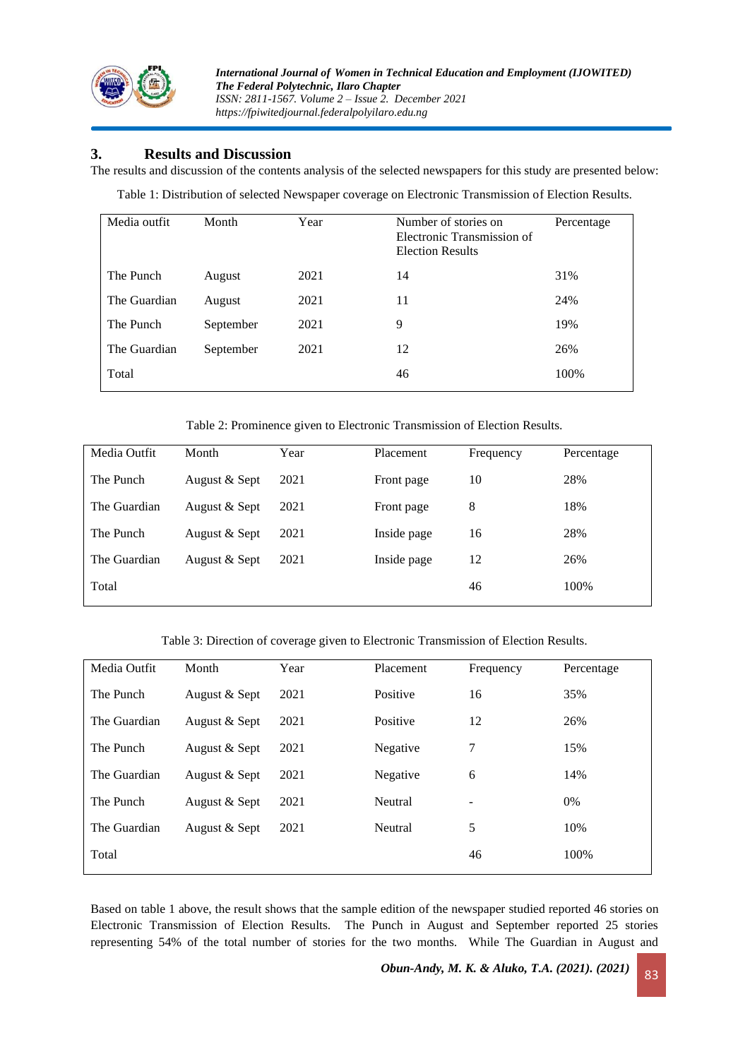

# **3. Results and Discussion**

The results and discussion of the contents analysis of the selected newspapers for this study are presented below:

Table 1: Distribution of selected Newspaper coverage on Electronic Transmission of Election Results.

| Month     | Year | Number of stories on<br>Electronic Transmission of<br><b>Election Results</b> | Percentage |
|-----------|------|-------------------------------------------------------------------------------|------------|
| August    | 2021 | 14                                                                            | 31%        |
| August    | 2021 | 11                                                                            | 24%        |
| September | 2021 | 9                                                                             | 19%        |
| September | 2021 | 12                                                                            | 26%        |
|           |      | 46                                                                            | 100%       |
|           |      |                                                                               |            |

#### Table 2: Prominence given to Electronic Transmission of Election Results.

| Media Outfit | Month         | Year | Placement   | Frequency | Percentage |
|--------------|---------------|------|-------------|-----------|------------|
| The Punch    | August & Sept | 2021 | Front page  | 10        | 28%        |
| The Guardian | August & Sept | 2021 | Front page  | 8         | 18%        |
| The Punch    | August & Sept | 2021 | Inside page | 16        | 28%        |
| The Guardian | August & Sept | 2021 | Inside page | 12        | 26%        |
| Total        |               |      |             | 46        | 100%       |

Table 3: Direction of coverage given to Electronic Transmission of Election Results.

| Media Outfit | Month         | Year | Placement | Frequency | Percentage |
|--------------|---------------|------|-----------|-----------|------------|
| The Punch    | August & Sept | 2021 | Positive  | 16        | 35%        |
| The Guardian | August & Sept | 2021 | Positive  | 12        | 26%        |
| The Punch    | August & Sept | 2021 | Negative  | 7         | 15%        |
| The Guardian | August & Sept | 2021 | Negative  | 6         | 14%        |
| The Punch    | August & Sept | 2021 | Neutral   |           | $0\%$      |
| The Guardian | August & Sept | 2021 | Neutral   | 5         | 10%        |
| Total        |               |      |           | 46        | 100%       |

Based on table 1 above, the result shows that the sample edition of the newspaper studied reported 46 stories on Electronic Transmission of Election Results. The Punch in August and September reported 25 stories representing 54% of the total number of stories for the two months. While The Guardian in August and

*Obun-Andy, M. K. & Aluko, T.A. (2021). (2021)* 83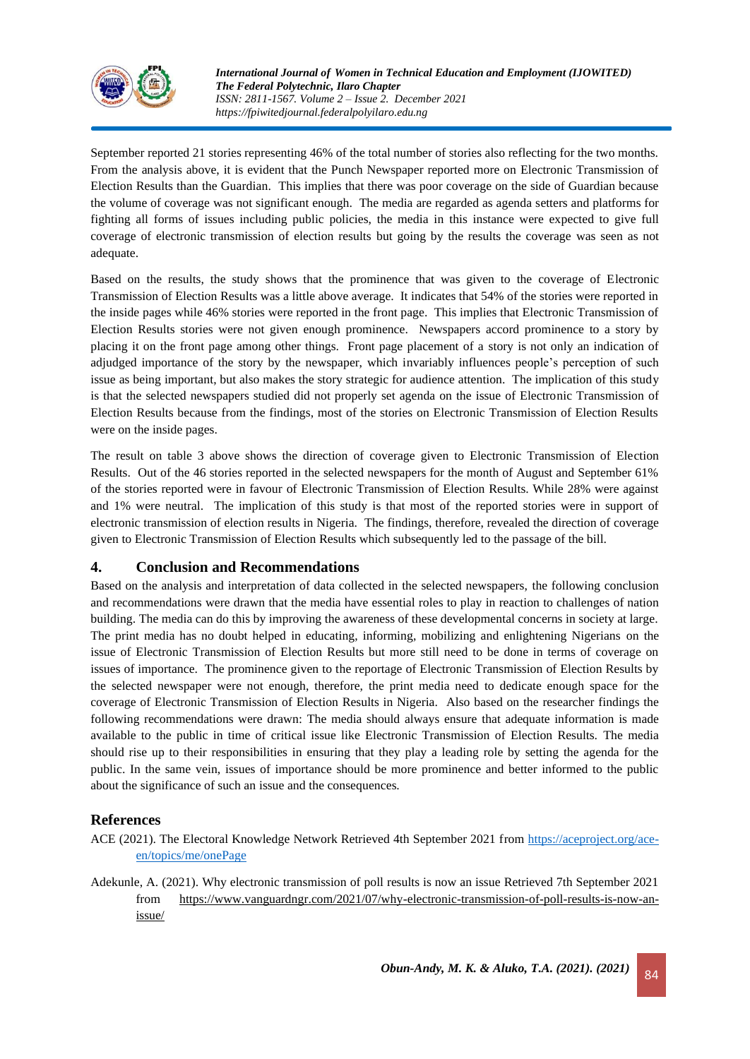

*International Journal of Women in Technical Education and Employment (IJOWITED) The Federal Polytechnic, Ilaro Chapter ISSN: 2811-1567. Volume 2 – Issue 2. December 2021 https://fpiwitedjournal.federalpolyilaro.edu.ng*

September reported 21 stories representing 46% of the total number of stories also reflecting for the two months. From the analysis above, it is evident that the Punch Newspaper reported more on Electronic Transmission of Election Results than the Guardian. This implies that there was poor coverage on the side of Guardian because the volume of coverage was not significant enough. The media are regarded as agenda setters and platforms for fighting all forms of issues including public policies, the media in this instance were expected to give full coverage of electronic transmission of election results but going by the results the coverage was seen as not adequate.

Based on the results, the study shows that the prominence that was given to the coverage of Electronic Transmission of Election Results was a little above average. It indicates that 54% of the stories were reported in the inside pages while 46% stories were reported in the front page. This implies that Electronic Transmission of Election Results stories were not given enough prominence. Newspapers accord prominence to a story by placing it on the front page among other things. Front page placement of a story is not only an indication of adjudged importance of the story by the newspaper, which invariably influences people's perception of such issue as being important, but also makes the story strategic for audience attention. The implication of this study is that the selected newspapers studied did not properly set agenda on the issue of Electronic Transmission of Election Results because from the findings, most of the stories on Electronic Transmission of Election Results were on the inside pages.

The result on table 3 above shows the direction of coverage given to Electronic Transmission of Election Results. Out of the 46 stories reported in the selected newspapers for the month of August and September 61% of the stories reported were in favour of Electronic Transmission of Election Results. While 28% were against and 1% were neutral. The implication of this study is that most of the reported stories were in support of electronic transmission of election results in Nigeria. The findings, therefore, revealed the direction of coverage given to Electronic Transmission of Election Results which subsequently led to the passage of the bill.

# **4. Conclusion and Recommendations**

Based on the analysis and interpretation of data collected in the selected newspapers, the following conclusion and recommendations were drawn that the media have essential roles to play in reaction to challenges of nation building. The media can do this by improving the awareness of these developmental concerns in society at large. The print media has no doubt helped in educating, informing, mobilizing and enlightening Nigerians on the issue of Electronic Transmission of Election Results but more still need to be done in terms of coverage on issues of importance. The prominence given to the reportage of Electronic Transmission of Election Results by the selected newspaper were not enough, therefore, the print media need to dedicate enough space for the coverage of Electronic Transmission of Election Results in Nigeria. Also based on the researcher findings the following recommendations were drawn: The media should always ensure that adequate information is made available to the public in time of critical issue like Electronic Transmission of Election Results. The media should rise up to their responsibilities in ensuring that they play a leading role by setting the agenda for the public. In the same vein, issues of importance should be more prominence and better informed to the public about the significance of such an issue and the consequences.

# **References**

ACE (2021). The Electoral Knowledge Network Retrieved 4th September 2021 from [https://aceproject.org/ace](https://aceproject.org/ace-en/topics/me/onePage)[en/topics/me/onePage](https://aceproject.org/ace-en/topics/me/onePage)

Adekunle, A. (2021). Why electronic transmission of poll results is now an issue Retrieved 7th September 2021 from [https://www.vanguardngr.com/2021/07/why-electronic-transmission-of-poll-results-is-now-an](https://www.vanguardngr.com/2021/07/why-electronic-transmission-of-poll-results-is-now-an-issue/)[issue/](https://www.vanguardngr.com/2021/07/why-electronic-transmission-of-poll-results-is-now-an-issue/)